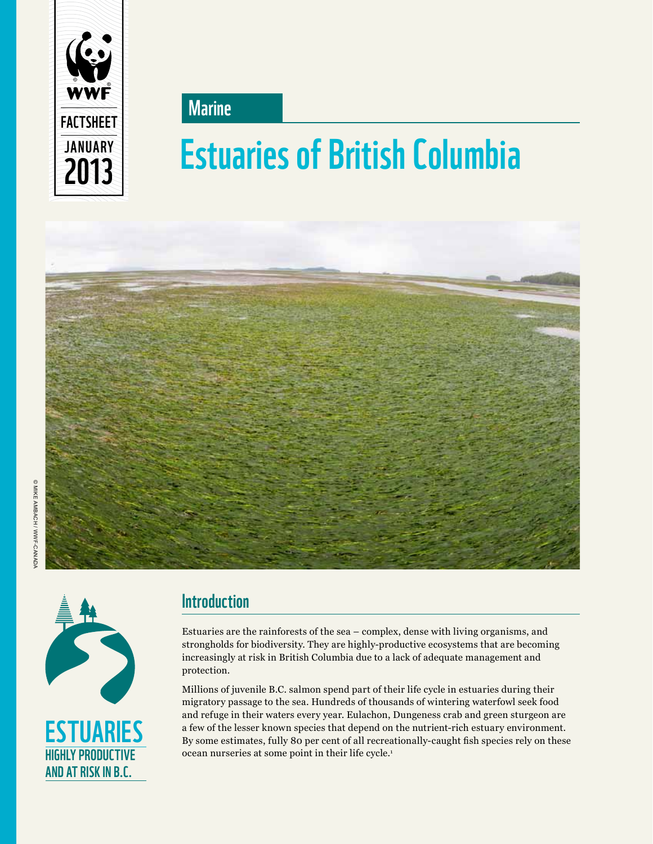

**Marine** 

# **Estuaries of British Columbia**<br>2013 **Estuaries of British Columbia**





## **Introduction**

Estuaries are the rainforests of the sea – complex, dense with living organisms, and strongholds for biodiversity. They are highly-productive ecosystems that are becoming increasingly at risk in British Columbia due to a lack of adequate management and protection.

Millions of juvenile B.C. salmon spend part of their life cycle in estuaries during their migratory passage to the sea. Hundreds of thousands of wintering waterfowl seek food and refuge in their waters every year. Eulachon, Dungeness crab and green sturgeon are a few of the lesser known species that depend on the nutrient-rich estuary environment. By some estimates, fully 80 per cent of all recreationally-caught fish species rely on these ocean nurseries at some point in their life cycle.1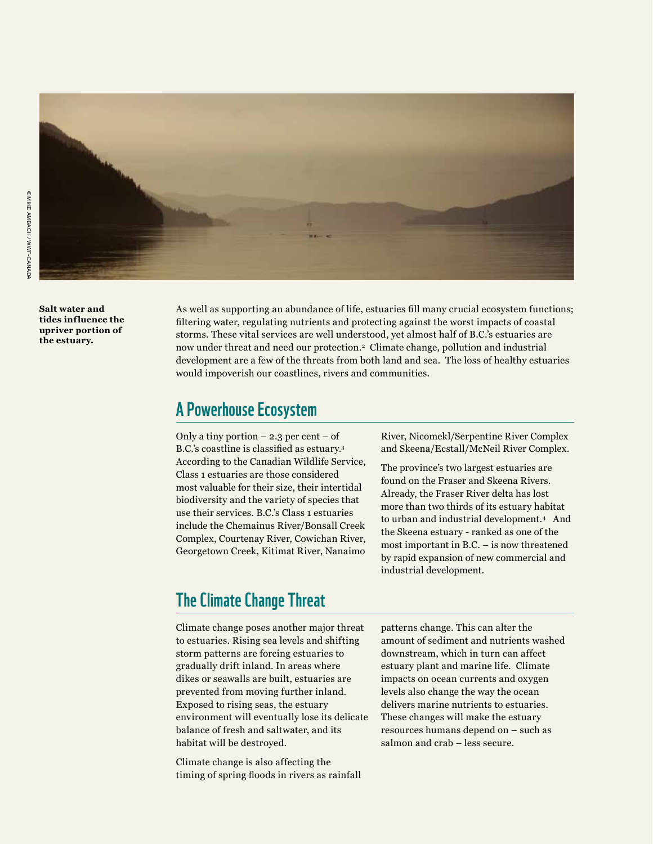

**Salt water and tides influence the upriver portion of the estuary.**

As well as supporting an abundance of life, estuaries fill many crucial ecosystem functions; filtering water, regulating nutrients and protecting against the worst impacts of coastal storms. These vital services are well understood, yet almost half of B.C.'s estuaries are now under threat and need our protection.2 Climate change, pollution and industrial development are a few of the threats from both land and sea. The loss of healthy estuaries would impoverish our coastlines, rivers and communities.

#### A Powerhouse Ecosystem

Only a tiny portion  $-2.3$  per cent  $-$  of B.C.'s coastline is classified as estuary.<sup>3</sup> According to the Canadian Wildlife Service, Class 1 estuaries are those considered most valuable for their size, their intertidal biodiversity and the variety of species that use their services. B.C.'s Class 1 estuaries include the Chemainus River/Bonsall Creek Complex, Courtenay River, Cowichan River, Georgetown Creek, Kitimat River, Nanaimo

River, Nicomekl/Serpentine River Complex and Skeena/Ecstall/McNeil River Complex.

The province's two largest estuaries are found on the Fraser and Skeena Rivers. Already, the Fraser River delta has lost more than two thirds of its estuary habitat to urban and industrial development.4 And the Skeena estuary - ranked as one of the most important in B.C. – is now threatened by rapid expansion of new commercial and industrial development.

### The Climate Change Threat

Climate change poses another major threat to estuaries. Rising sea levels and shifting storm patterns are forcing estuaries to gradually drift inland. In areas where dikes or seawalls are built, estuaries are prevented from moving further inland. Exposed to rising seas, the estuary environment will eventually lose its delicate balance of fresh and saltwater, and its habitat will be destroyed.

Climate change is also affecting the timing of spring floods in rivers as rainfall patterns change. This can alter the amount of sediment and nutrients washed downstream, which in turn can affect estuary plant and marine life. Climate impacts on ocean currents and oxygen levels also change the way the ocean delivers marine nutrients to estuaries. These changes will make the estuary resources humans depend on – such as salmon and crab – less secure.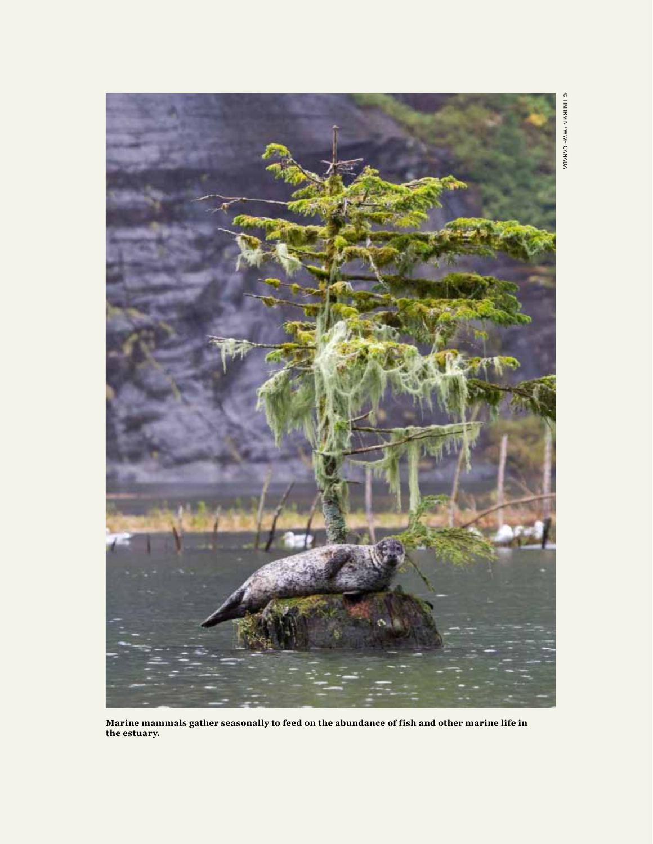

**Marine mammals gather seasonally to feed on the abundance of fish and other marine life in the estuary.**